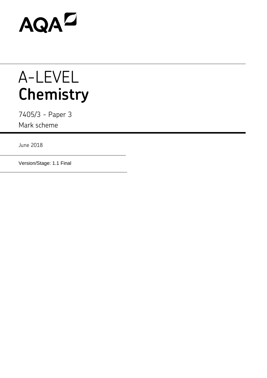# AQAD

## A-LEVEL **Chemistry**

7405/3 - Paper 3 Mark scheme

June 2018

Version/Stage: 1.1 Final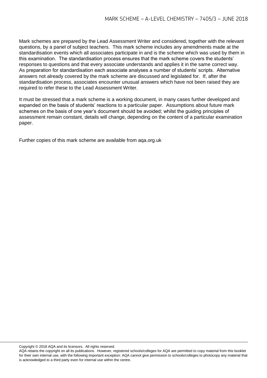Mark schemes are prepared by the Lead Assessment Writer and considered, together with the relevant questions, by a panel of subject teachers. This mark scheme includes any amendments made at the standardisation events which all associates participate in and is the scheme which was used by them in this examination. The standardisation process ensures that the mark scheme covers the students' responses to questions and that every associate understands and applies it in the same correct way. As preparation for standardisation each associate analyses a number of students' scripts. Alternative answers not already covered by the mark scheme are discussed and legislated for. If, after the standardisation process, associates encounter unusual answers which have not been raised they are required to refer these to the Lead Assessment Writer.

It must be stressed that a mark scheme is a working document, in many cases further developed and expanded on the basis of students' reactions to a particular paper. Assumptions about future mark schemes on the basis of one year's document should be avoided; whilst the guiding principles of assessment remain constant, details will change, depending on the content of a particular examination paper.

Further copies of this mark scheme are available from aqa.org.uk

Copyright © 2018 AQA and its licensors. All rights reserved.

AQA retains the copyright on all its publications. However, registered schools/colleges for AQA are permitted to copy material from this booklet for their own internal use, with the following important exception: AQA cannot give permission to schools/colleges to photocopy any material that is acknowledged to a third party even for internal use within the centre.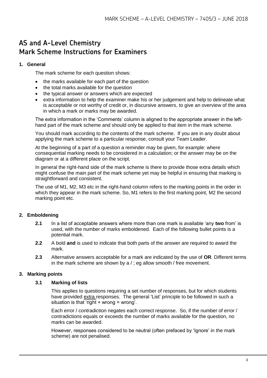### **AS and A-Level Chemistry Mark Scheme Instructions for Examiners**

#### **1. General**

The mark scheme for each question shows:

- the marks available for each part of the question
- the total marks available for the question
- the typical answer or answers which are expected
- extra information to help the examiner make his or her judgement and help to delineate what is acceptable or not worthy of credit or, in discursive answers, to give an overview of the area in which a mark or marks may be awarded.

The extra information in the 'Comments' column is aligned to the appropriate answer in the lefthand part of the mark scheme and should only be applied to that item in the mark scheme.

You should mark according to the contents of the mark scheme. If you are in any doubt about applying the mark scheme to a particular response, consult your Team Leader.

At the beginning of a part of a question a reminder may be given, for example: where consequential marking needs to be considered in a calculation; or the answer may be on the diagram or at a different place on the script.

In general the right-hand side of the mark scheme is there to provide those extra details which might confuse the main part of the mark scheme yet may be helpful in ensuring that marking is straightforward and consistent.

The use of M1, M2, M3 etc in the right-hand column refers to the marking points in the order in which they appear in the mark scheme. So, M1 refers to the first marking point, M2 the second marking point etc.

#### **2. Emboldening**

- **2.1** In a list of acceptable answers where more than one mark is available 'any **two** from' is used, with the number of marks emboldened. Each of the following bullet points is a potential mark.
- **2.2** A bold **and** is used to indicate that both parts of the answer are required to award the mark.
- **2.3** Alternative answers acceptable for a mark are indicated by the use of **OR**. Different terms in the mark scheme are shown by a / ; eg allow smooth / free movement.

#### **3. Marking points**

#### **3.1 Marking of lists**

This applies to questions requiring a set number of responses, but for which students have provided extra responses. The general 'List' principle to be followed in such a situation is that 'right + wrong = wrong'.

Each error / contradiction negates each correct response. So, if the number of error / contradictions equals or exceeds the number of marks available for the question, no marks can be awarded.

However, responses considered to be neutral (often prefaced by 'Ignore' in the mark scheme) are not penalised.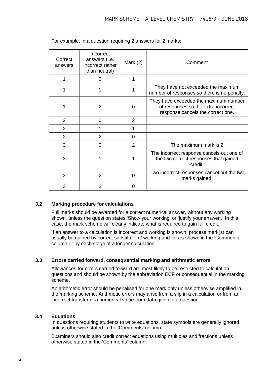| Correct<br>answers | Incorrect<br>answers (i.e.<br>incorrect rather<br>than neutral) | Mark $(2)$     | Comment                                                                                                           |
|--------------------|-----------------------------------------------------------------|----------------|-------------------------------------------------------------------------------------------------------------------|
|                    | 0                                                               |                |                                                                                                                   |
|                    |                                                                 |                | They have not exceeded the maximum<br>number of responses so there is no penalty.                                 |
|                    | $\mathfrak{p}$                                                  | 0              | They have exceeded the maximum number<br>of responses so the extra incorrect<br>response cancels the correct one. |
| $\overline{2}$     | 0                                                               | 2              |                                                                                                                   |
| 2                  |                                                                 |                |                                                                                                                   |
| 2                  | $\mathcal{P}$                                                   | 0              |                                                                                                                   |
| 3                  | 0                                                               | $\overline{2}$ | The maximum mark is 2                                                                                             |
| 3                  |                                                                 |                | The incorrect response cancels out one of<br>the two correct responses that gained<br>credit.                     |
| 3                  | 2                                                               | U              | Two incorrect responses cancel out the two<br>marks gained.                                                       |
| 3                  | 3                                                               | O              |                                                                                                                   |

For example, in a question requiring 2 answers for 2 marks:

#### **3.2 Marking procedure for calculations**

Full marks should be awarded for a correct numerical answer, without any working shown, unless the question states 'Show your working' or 'justify your answer'. In this case, the mark scheme will clearly indicate what is required to gain full credit.

If an answer to a calculation is incorrect and working is shown, process mark(s) can usually be gained by correct substitution / working and this is shown in the 'Comments' column or by each stage of a longer calculation.

#### **3.3 Errors carried forward, consequential marking and arithmetic errors**

Allowances for errors carried forward are most likely to be restricted to calculation questions and should be shown by the abbreviation ECF or consequential in the marking scheme.

An arithmetic error should be penalised for one mark only unless otherwise amplified in the marking scheme. Arithmetic errors may arise from a slip in a calculation or from an incorrect transfer of a numerical value from data given in a question.

#### **3.4 Equations**

In questions requiring students to write equations, state symbols are generally ignored unless otherwise stated in the 'Comments' column.

Examiners should also credit correct equations using multiples and fractions unless otherwise stated in the 'Comments' column.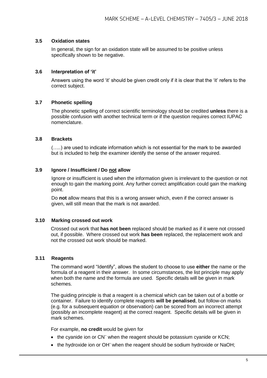#### **3.5 Oxidation states**

In general, the sign for an oxidation state will be assumed to be positive unless specifically shown to be negative.

#### **3.6 Interpretation of 'it'**

Answers using the word 'it' should be given credit only if it is clear that the 'it' refers to the correct subject.

#### **3.7 Phonetic spelling**

The phonetic spelling of correct scientific terminology should be credited **unless** there is a possible confusion with another technical term or if the question requires correct IUPAC nomenclature.

#### **3.8 Brackets**

(…..) are used to indicate information which is not essential for the mark to be awarded but is included to help the examiner identify the sense of the answer required.

#### **3.9 Ignore / Insufficient / Do not allow**

Ignore or insufficient is used when the information given is irrelevant to the question or not enough to gain the marking point. Any further correct amplification could gain the marking point.

Do **not** allow means that this is a wrong answer which, even if the correct answer is given, will still mean that the mark is not awarded.

#### **3.10 Marking crossed out work**

Crossed out work that **has not been** replaced should be marked as if it were not crossed out, if possible. Where crossed out work **has been** replaced, the replacement work and not the crossed out work should be marked.

#### **3.11 Reagents**

The command word "Identify", allows the student to choose to use **either** the name or the formula of a reagent in their answer. In some circumstances, the list principle may apply when both the name and the formula are used. Specific details will be given in mark schemes.

The guiding principle is that a reagent is a chemical which can be taken out of a bottle or container. Failure to identify complete reagents **will be penalised**, but follow-on marks (e.g. for a subsequent equation or observation) can be scored from an incorrect attempt (possibly an incomplete reagent) at the correct reagent. Specific details will be given in mark schemes.

For example, **no credit** would be given for

- $\bullet$  the cyanide ion or CN<sup>-</sup> when the reagent should be potassium cyanide or KCN;
- the hydroxide ion or OH<sup>-</sup> when the reagent should be sodium hydroxide or NaOH;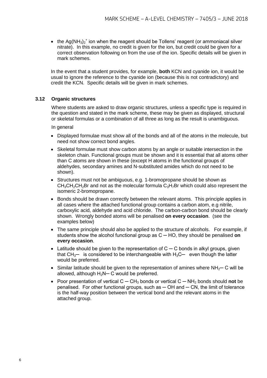• the Ag(NH<sub>3</sub>)<sub>2</sub><sup>+</sup> ion when the reagent should be Tollens' reagent (or ammoniacal silver nitrate). In this example, no credit is given for the ion, but credit could be given for a correct observation following on from the use of the ion. Specific details will be given in mark schemes.

In the event that a student provides, for example, **both** KCN and cyanide ion, it would be usual to ignore the reference to the cyanide ion (because this is not contradictory) and credit the KCN. Specific details will be given in mark schemes.

#### **3.12 Organic structures**

Where students are asked to draw organic structures, unless a specific type is required in the question and stated in the mark scheme, these may be given as displayed, structural or skeletal formulas or a combination of all three as long as the result is unambiguous.

In general

- Displayed formulae must show all of the bonds and all of the atoms in the molecule, but need not show correct bond angles.
- Skeletal formulae must show carbon atoms by an angle or suitable intersection in the skeleton chain. Functional groups must be shown and it is essential that all atoms other than C atoms are shown in these (except H atoms in the functional groups of aldehydes, secondary amines and N-substituted amides which do not need to be shown).
- Structures must not be ambiguous, e.g. 1-bromopropane should be shown as  $CH<sub>3</sub>CH<sub>2</sub>CH<sub>2</sub>Br$  and not as the molecular formula  $C<sub>3</sub>H<sub>7</sub>Br$  which could also represent the isomeric 2-bromopropane.
- Bonds should be drawn correctly between the relevant atoms. This principle applies in all cases where the attached functional group contains a carbon atom, e.g nitrile, carboxylic acid, aldehyde and acid chloride. The carbon-carbon bond should be clearly shown. Wrongly bonded atoms will be penalised **on every occasion**. (see the examples below)
- The same principle should also be applied to the structure of alcohols. For example, if students show the alcohol functional group as C ─ HO, they should be penalised **on every occasion**.
- Latitude should be given to the representation of  $C C$  bonds in alkyl groups, given that  $CH_{3}$ — is considered to be interchangeable with  $H_3C$ — even though the latter would be preferred.
- Similar latitude should be given to the representation of amines where NH<sub>2</sub>— C will be allowed, although  $H_2N-C$  would be preferred.
- Poor presentation of vertical C ─ CH<sup>3</sup> bonds or vertical C ─ NH<sup>2</sup> bonds should **not** be penalised. For other functional groups, such as  $-$  OH and  $-$  CN, the limit of tolerance is the half-way position between the vertical bond and the relevant atoms in the attached group.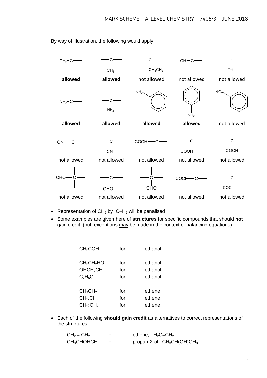

By way of illustration, the following would apply.

- Representation of  $CH_2$  by  $C-H_2$  will be penalised
- Some examples are given here of **structures** for specific compounds that should **not** gain credit (but, exceptions may be made in the context of balancing equations)

| CH <sub>3</sub> COH                | for | ethanal |
|------------------------------------|-----|---------|
| CH <sub>3</sub> CH <sub>2</sub> HO | for | ethanol |
| OHCH <sub>2</sub> CH <sub>3</sub>  | for | ethanol |
| $C_2H_6O$                          | for | ethanol |
| CH <sub>2</sub> CH <sub>2</sub>    | for | ethene  |
| CH <sub>2</sub> .CH <sub>2</sub>   | for | ethene  |
| CH <sub>2</sub> :CH <sub>2</sub>   | for | ethene  |

 Each of the following **should gain credit** as alternatives to correct representations of the structures.

| $CH2 = CH2$      | for | ethene, $H_2C = CH_2$         |
|------------------|-----|-------------------------------|
| $CH3CHOHCH3$ for |     | propan-2-ol, $CH_3CH(OH)CH_3$ |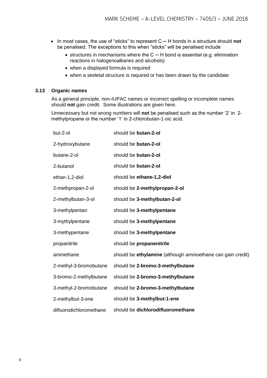- In most cases, the use of "sticks" to represent C ─ H bonds in a structure should **not** be penalised. The exceptions to this when "sticks" will be penalised include
	- structures in mechanisms where the  $C H$  bond is essential (e.g. elimination reactions in halogenoalkanes and alcohols)
	- when a displayed formula is required
	- when a skeletal structure is required or has been drawn by the candidate

#### **3.13 Organic names**

As a general principle, non-IUPAC names or incorrect spelling or incomplete names should **not** gain credit. Some illustrations are given here.

Unnecessary but not wrong numbers will **not** be penalised such as the number '2' in 2 methylpropane or the number '1' in 2-chlorobutan-1-oic acid.

| but-2-ol                | should be butan-2-ol                                        |
|-------------------------|-------------------------------------------------------------|
| 2-hydroxybutane         | should be butan-2-ol                                        |
| butane-2-ol             | should be butan-2-ol                                        |
| 2-butanol               | should be butan-2-ol                                        |
| ethan-1,2-diol          | should be ethane-1,2-diol                                   |
| 2-methpropan-2-ol       | should be 2-methylpropan-2-ol                               |
| 2-methylbutan-3-ol      | should be 3-methylbutan-2-ol                                |
| 3-methylpentan          | should be 3-methylpentane                                   |
| 3-mythylpentane         | should be 3-methylpentane                                   |
| 3-methypentane          | should be 3-methylpentane                                   |
| propanitrile            | should be propanenitrile                                    |
| aminethane              | should be ethylamine (although aminoethane can gain credit) |
| 2-methyl-3-bromobutane  | should be 2-bromo-3-methylbutane                            |
| 3-bromo-2-methylbutane  | should be 2-bromo-3-methylbutane                            |
| 3-methyl-2-bromobutane  | should be 2-bromo-3-methylbutane                            |
| 2-methylbut-3-ene       | should be 3-methylbut-1-ene                                 |
| difluorodichloromethane | should be dichlorodifluoromethane                           |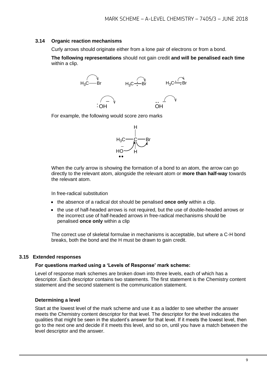#### **3.14 Organic reaction mechanisms**

Curly arrows should originate either from a lone pair of electrons or from a bond.

**The following representations** should not gain credit **and will be penalised each time**  within a clip.



For example, the following would score zero marks



When the curly arrow is showing the formation of a bond to an atom, the arrow can go directly to the relevant atom, alongside the relevant atom or **more than half-way** towards the relevant atom.

In free-radical substitution

- the absence of a radical dot should be penalised **once only** within a clip.
- the use of half-headed arrows is not required, but the use of double-headed arrows or the incorrect use of half-headed arrows in free-radical mechanisms should be penalised **once only** within a clip

The correct use of skeletal formulae in mechanisms is acceptable, but where a C-H bond breaks, both the bond and the H must be drawn to gain credit.

#### **3.15 Extended responses**

#### **For questions marked using a 'Levels of Response' mark scheme:**

Level of response mark schemes are broken down into three levels, each of which has a descriptor. Each descriptor contains two statements. The first statement is the Chemistry content statement and the second statement is the communication statement.

#### **Determining a level**

Start at the lowest level of the mark scheme and use it as a ladder to see whether the answer meets the Chemistry content descriptor for that level. The descriptor for the level indicates the qualities that might be seen in the student's answer for that level. If it meets the lowest level, then go to the next one and decide if it meets this level, and so on, until you have a match between the level descriptor and the answer.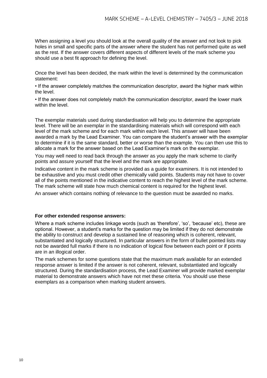When assigning a level you should look at the overall quality of the answer and not look to pick holes in small and specific parts of the answer where the student has not performed quite as well as the rest. If the answer covers different aspects of different levels of the mark scheme you should use a best fit approach for defining the level.

Once the level has been decided, the mark within the level is determined by the communication statement:

• If the answer completely matches the communication descriptor, award the higher mark within the level.

• If the answer does not completely match the communication descriptor, award the lower mark within the level.

The exemplar materials used during standardisation will help you to determine the appropriate level. There will be an exemplar in the standardising materials which will correspond with each level of the mark scheme and for each mark within each level. This answer will have been awarded a mark by the Lead Examiner. You can compare the student's answer with the exemplar to determine if it is the same standard, better or worse than the example. You can then use this to allocate a mark for the answer based on the Lead Examiner's mark on the exemplar.

You may well need to read back through the answer as you apply the mark scheme to clarify points and assure yourself that the level and the mark are appropriate.

Indicative content in the mark scheme is provided as a guide for examiners. It is not intended to be exhaustive and you must credit other chemically valid points. Students may not have to cover all of the points mentioned in the indicative content to reach the highest level of the mark scheme. The mark scheme will state how much chemical content is required for the highest level.

An answer which contains nothing of relevance to the question must be awarded no marks.

#### **For other extended response answers:**

Where a mark scheme includes linkage words (such as 'therefore', 'so', 'because' etc), these are optional. However, a student's marks for the question may be limited if they do not demonstrate the ability to construct and develop a sustained line of reasoning which is coherent, relevant, substantiated and logically structured. In particular answers in the form of bullet pointed lists may not be awarded full marks if there is no indication of logical flow between each point or if points are in an illogical order.

The mark schemes for some questions state that the maximum mark available for an extended response answer is limited if the answer is not coherent, relevant, substantiated and logically structured. During the standardisation process, the Lead Examiner will provide marked exemplar material to demonstrate answers which have not met these criteria. You should use these exemplars as a comparison when marking student answers.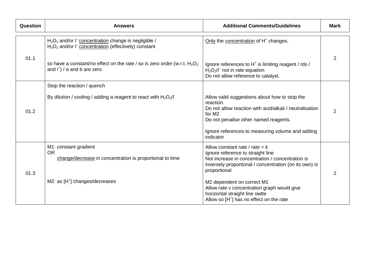| <b>Question</b> | <b>Answers</b>                                                                                                                                                                       | <b>Additional Comments/Guidelines</b>                                                                                                                                                               | <b>Mark</b> |
|-----------------|--------------------------------------------------------------------------------------------------------------------------------------------------------------------------------------|-----------------------------------------------------------------------------------------------------------------------------------------------------------------------------------------------------|-------------|
|                 | H <sub>2</sub> O <sub>2</sub> and/or I <sup>-</sup> concentration change is negligible /<br>H <sub>2</sub> O <sub>2</sub> and/or I <sup>-</sup> concentration (effectively) constant | Only the concentration of H <sup>+</sup> changes.                                                                                                                                                   |             |
| 01.1            | so have a constant/no effect on the rate / so is zero order (w.r.t. $H_2O_2$<br>and $\Gamma$ ) / a and b are zero                                                                    | Ignore references to H <sup>+</sup> is limiting reagent / rds /<br>$H2O2/I-$ not in rate equation<br>Do not allow reference to catalyst.                                                            |             |
|                 | Stop the reaction / quench                                                                                                                                                           |                                                                                                                                                                                                     |             |
| 01.2            | By dilution / cooling / adding a reagent to react with $H_2O_2/I$                                                                                                                    | Allow valid suggestions about how to stop the<br>reaction.<br>Do not allow reaction with acid/alkali / neutralisation<br>for M <sub>2</sub><br>Do not penalise other named reagents.                | 2           |
|                 |                                                                                                                                                                                      | Ignore references to measuring volume and adding<br>indicator                                                                                                                                       |             |
| 01.3            | M1: constant gradient<br><b>OR</b><br>change/decrease in concentration is proportional to time                                                                                       | Allow constant rate / rate = $k$<br>Ignore reference to straight line<br>Not increase in concentration / concentration is<br>inversely proportional / concentration (on its own) is<br>proportional | 2           |
|                 | M2: as $[H^+]$ changes/decreases                                                                                                                                                     | M2 dependent on correct M1<br>Allow rate v concentration graph would give<br>horizontal straight line owtte<br>Allow so [H <sup>+</sup> ] has no effect on the rate                                 |             |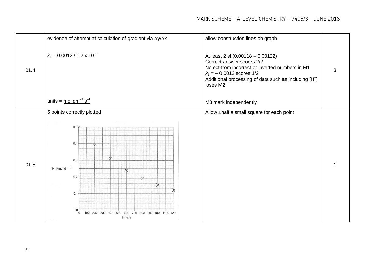|      | evidence of attempt at calculation of gradient via $\Delta y / \Delta x$                                                                                       | allow construction lines on graph                                                                                                                                                                                                  |   |
|------|----------------------------------------------------------------------------------------------------------------------------------------------------------------|------------------------------------------------------------------------------------------------------------------------------------------------------------------------------------------------------------------------------------|---|
| 01.4 | $k_1$ = 0.0012 / 1.2 x 10 <sup>-3</sup>                                                                                                                        | At least 2 sf (0.00118 - 0.00122)<br>Correct answer scores 2/2<br>No ecf from incorrect or inverted numbers in M1<br>$k_1 = -0.0012$ scores $1/2$<br>Additional processing of data such as including [H <sup>+</sup> ]<br>loses M2 | 3 |
|      | units = $\text{mol} \text{ dm}^{-3} \text{ s}^{-1}$                                                                                                            | M3 mark independently                                                                                                                                                                                                              |   |
|      | 5 points correctly plotted                                                                                                                                     | Allow ±half a small square for each point                                                                                                                                                                                          |   |
| 01.5 | $0.5*$<br>0.4<br>$0.3 -$<br>$[H^+]$ /mol dm <sup>-3</sup><br>0.2<br>×<br>0.1<br>0.0<br>100 200 300 400 500 600 700 800 900 1000 1100 1200<br>$\circ$<br>time/s |                                                                                                                                                                                                                                    |   |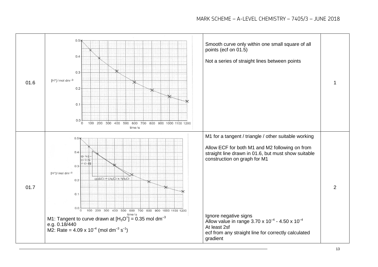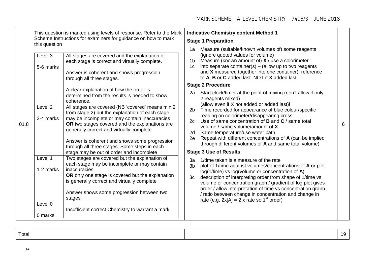|      | This question is marked using levels of response. Refer to the Mark                                                                                                                             |                                                                                                                                                                                                                                                                                                       |                                                                                                                                                                                                                                                                                                                                             | <b>Indicative Chemistry content Method 1</b>                                                                       |                                                                                                                                                                                          |                                                            |  |
|------|-------------------------------------------------------------------------------------------------------------------------------------------------------------------------------------------------|-------------------------------------------------------------------------------------------------------------------------------------------------------------------------------------------------------------------------------------------------------------------------------------------------------|---------------------------------------------------------------------------------------------------------------------------------------------------------------------------------------------------------------------------------------------------------------------------------------------------------------------------------------------|--------------------------------------------------------------------------------------------------------------------|------------------------------------------------------------------------------------------------------------------------------------------------------------------------------------------|------------------------------------------------------------|--|
|      | this question                                                                                                                                                                                   | Scheme Instructions for examiners for guidance on how to mark                                                                                                                                                                                                                                         |                                                                                                                                                                                                                                                                                                                                             |                                                                                                                    | <b>Stage 1 Preparation</b>                                                                                                                                                               |                                                            |  |
|      | Level 3<br>All stages are covered and the explanation of<br>each stage is correct and virtually complete.<br>5-6 marks<br>Answer is coherent and shows progression<br>through all three stages. |                                                                                                                                                                                                                                                                                                       | Measure (suitable/known volumes of) some reagents<br>1a<br>(ignore quoted values for volume)<br>Measure (known amount of) $X /$ use a colorimeter<br>1 <sub>b</sub><br>1c into separate container(s) - (allow up to two reagents<br>and X measured together into one container); reference<br>to A, B or C added last. NOT if X added last. |                                                                                                                    |                                                                                                                                                                                          |                                                            |  |
|      |                                                                                                                                                                                                 |                                                                                                                                                                                                                                                                                                       | <b>Stage 2 Procedure</b>                                                                                                                                                                                                                                                                                                                    |                                                                                                                    |                                                                                                                                                                                          |                                                            |  |
| 01.8 | coherence.<br>Level 2                                                                                                                                                                           | A clear explanation of how the order is<br>determined from the results is needed to show<br>All stages are covered (NB 'covered' means min 2                                                                                                                                                          |                                                                                                                                                                                                                                                                                                                                             | 2a<br>2 <sub>b</sub>                                                                                               | Start clock/timer at the point of mixing (don't allow if only<br>2 reagents mixed)<br>(allow even if X not added or added last)I<br>Time recorded for appearance of blue colour/specific |                                                            |  |
|      | 3-4 marks                                                                                                                                                                                       | from stage 2) but the explanation of each stage<br>may be incomplete or may contain inaccuracies<br>OR two stages covered and the explanations are<br>generally correct and virtually complete<br>2e<br>Answer is coherent and shows some progression<br>through all three stages. Some steps in each | 2c<br>2d                                                                                                                                                                                                                                                                                                                                    |                                                                                                                    | reading on colorimeter/disappearing cross<br>Use of same concentration of $B$ and $C$ / same total<br>volume / same volume/amount of X<br>Same temperature/use water bath                | 6                                                          |  |
|      |                                                                                                                                                                                                 |                                                                                                                                                                                                                                                                                                       |                                                                                                                                                                                                                                                                                                                                             | Repeat with different concentrations of A (can be implied<br>through different volumes of A and same total volume) |                                                                                                                                                                                          |                                                            |  |
|      |                                                                                                                                                                                                 | stage may be out of order and incomplete                                                                                                                                                                                                                                                              |                                                                                                                                                                                                                                                                                                                                             | <b>Stage 3 Use of Results</b>                                                                                      |                                                                                                                                                                                          |                                                            |  |
|      | Level 1<br>1-2 marks                                                                                                                                                                            | Two stages are covered but the explanation of<br>each stage may be incomplete or may contain<br>inaccuracies                                                                                                                                                                                          | За<br>3 <sub>b</sub><br>3c                                                                                                                                                                                                                                                                                                                  |                                                                                                                    | 1/time taken is a measure of the rate<br>$log(1/time)$ vs $log($ volume or concentration of $A)$                                                                                         | plot of 1/time against volumes/concentrations of A or plot |  |
|      |                                                                                                                                                                                                 | OR only one stage is covered but the explanation<br>is generally correct and virtually complete                                                                                                                                                                                                       |                                                                                                                                                                                                                                                                                                                                             |                                                                                                                    | description of interpreting order from shape of 1/time vs<br>volume or concentration graph / gradient of log plot gives<br>order / allow interpretation of time vs concentration graph   |                                                            |  |
|      |                                                                                                                                                                                                 | Answer shows some progression between two<br>stages                                                                                                                                                                                                                                                   |                                                                                                                                                                                                                                                                                                                                             |                                                                                                                    | / ratio between change in concentration and change in<br>rate (e.g, $2x[A] = 2x$ rate so 1 <sup>st</sup> order)                                                                          |                                                            |  |
|      | Level 0                                                                                                                                                                                         | Insufficient correct Chemistry to warrant a mark                                                                                                                                                                                                                                                      |                                                                                                                                                                                                                                                                                                                                             |                                                                                                                    |                                                                                                                                                                                          |                                                            |  |
|      | 0 marks                                                                                                                                                                                         |                                                                                                                                                                                                                                                                                                       |                                                                                                                                                                                                                                                                                                                                             |                                                                                                                    |                                                                                                                                                                                          |                                                            |  |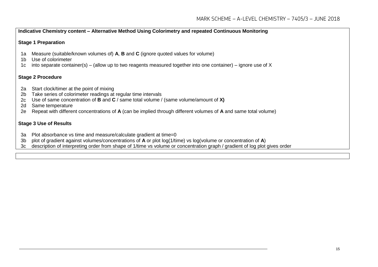#### **Indicative Chemistry content – Alternative Method Using Colorimetry and repeated Continuous Monitoring**

#### **Stage 1 Preparation**

- 1a Measure (suitable/known volumes of) **A**, **B** and **C** (ignore quoted values for volume)
- 1b Use of colorimeter
- 1c into separate container(s) (allow up to two reagents measured together into one container) ignore use of X

#### **Stage 2 Procedure**

- 2a Start clock/timer at the point of mixing
- 2b Take series of colorimeter readings at regular time intervals
- 2c Use of same concentration of **B** and **C** / same total volume / (same volume/amount of **X)**
- 2d Same temperature
- 2e Repeat with different concentrations of **A** (can be implied through different volumes of **A** and same total volume)

#### **Stage 3 Use of Results**

- 3a Plot absorbance vs time and measure/calculate gradient at time=0
- 3b plot of gradient against volumes/concentrations of **A** or plot log(1/time) vs log(volume or concentration of **A**)
- 3c description of interpreting order from shape of 1/time vs volume or concentration graph / gradient of log plot gives order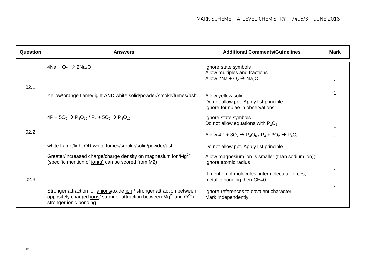| Question | <b>Answers</b>                                                                                                                                                                   | <b>Additional Comments/Guidelines</b>                                                           | <b>Mark</b> |
|----------|----------------------------------------------------------------------------------------------------------------------------------------------------------------------------------|-------------------------------------------------------------------------------------------------|-------------|
|          | $4Na + O2$ $\rightarrow$ $2Na2O$                                                                                                                                                 | Ignore state symbols<br>Allow multiples and fractions<br>Allow 2Na + $O_2 \rightarrow Na_2O_2$  |             |
| 02.1     | Yellow/orange flame/light AND white solid/powder/smoke/fumes/ash                                                                                                                 | Allow yellow solid<br>Do not allow ppt. Apply list principle<br>Ignore formulae in observations |             |
|          | $4P + 5O_2 \rightarrow P_4O_{10}$ / $P_4 + 5O_2 \rightarrow P_4O_{10}$                                                                                                           | Ignore state symbols<br>Do not allow equations with $P_2O_5$                                    |             |
| 02.2     |                                                                                                                                                                                  | Allow $4P + 3O_2 \rightarrow P_4O_6$ / $P_4 + 3O_2 \rightarrow P_4O_6$                          |             |
|          | white flame/light OR white fumes/smoke/solid/powder/ash                                                                                                                          | Do not allow ppt. Apply list principle                                                          |             |
|          | Greater/increased charge/charge density on magnesium ion/Mg <sup>2+</sup><br>(specific mention of <u>ion(s)</u> can be scored from M2)                                           | Allow magnesium ion is smaller (than sodium ion);<br>Ignore atomic radius                       |             |
| 02.3     |                                                                                                                                                                                  | If mention of molecules, intermolecular forces,<br>metallic bonding then CE=0                   |             |
|          | Stronger attraction for anions/oxide ion / stronger attraction between<br>oppositely charged ions/ stronger attraction between $Mg^{2+}$ and $O^{2-}/$<br>stronger jonic bonding | Ignore references to covalent character<br>Mark independently                                   |             |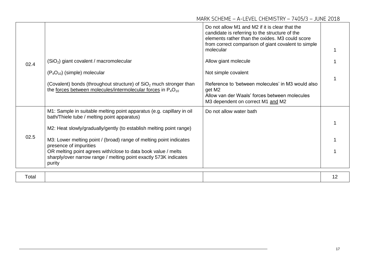|       |                                                                                                                                             | Do not allow M1 and M2 if it is clear that the<br>candidate is referring to the structure of the<br>elements rather than the oxides. M3 could score<br>from correct comparison of giant covalent to simple<br>molecular |    |
|-------|---------------------------------------------------------------------------------------------------------------------------------------------|-------------------------------------------------------------------------------------------------------------------------------------------------------------------------------------------------------------------------|----|
| 02.4  | (SiO <sub>2</sub> ) giant covalent / macromolecular                                                                                         | Allow giant molecule                                                                                                                                                                                                    |    |
|       | $(P_4O_{10})$ (simple) molecular                                                                                                            | Not simple covalent                                                                                                                                                                                                     |    |
|       | (Covalent) bonds (throughout structure) of $SiO2$ much stronger than<br>the forces between molecules/intermolecular forces in $P_4O_{10}$   | Reference to 'between molecules' in M3 would also<br>get M2<br>Allow van der Waals' forces between molecules<br>M3 dependent on correct M1 and M2                                                                       |    |
|       | M1: Sample in suitable melting point apparatus (e.g. capillary in oil<br>bath/Thiele tube / melting point apparatus)                        | Do not allow water bath                                                                                                                                                                                                 |    |
| 02.5  | M2: Heat slowly/gradually/gently (to establish melting point range)                                                                         |                                                                                                                                                                                                                         |    |
|       | M3: Lower melting point / (broad) range of melting point indicates<br>presence of impurities                                                |                                                                                                                                                                                                                         |    |
|       | OR melting point agrees with/close to data book value / melts<br>sharply/over narrow range / melting point exactly 573K indicates<br>purity |                                                                                                                                                                                                                         |    |
|       |                                                                                                                                             |                                                                                                                                                                                                                         |    |
| Total |                                                                                                                                             |                                                                                                                                                                                                                         | 12 |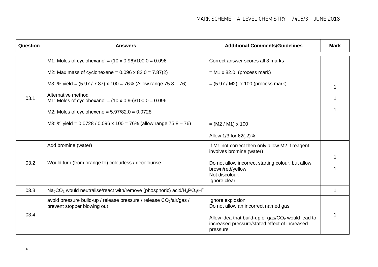| <b>Question</b> | <b>Answers</b>                                                                                                 | <b>Additional Comments/Guidelines</b>                                                                            | <b>Mark</b> |  |
|-----------------|----------------------------------------------------------------------------------------------------------------|------------------------------------------------------------------------------------------------------------------|-------------|--|
|                 | M1: Moles of cyclohexanol = $(10 \times 0.96)/100.0 = 0.096$                                                   | Correct answer scores all 3 marks                                                                                |             |  |
|                 | M2: Max mass of cyclohexene = $0.096 \times 82.0 = 7.87(2)$                                                    | $= M1 \times 82.0$ (process mark)                                                                                |             |  |
|                 | M3: % yield = $(5.97 / 7.87) \times 100 = 76\%$ (Allow range $75.8 - 76$ )                                     | $= (5.97 / M2)$ x 100 (process mark)                                                                             |             |  |
| 03.1            | Alternative method<br>M1: Moles of cyclohexanol = $(10 \times 0.96)/100.0 = 0.096$                             |                                                                                                                  |             |  |
|                 | M2: Moles of cyclohexene = $5.97/82.0 = 0.0728$                                                                |                                                                                                                  |             |  |
|                 | M3: % yield = $0.0728 / 0.096 \times 100 = 76%$ (allow range $75.8 - 76$ )                                     | $= (M2 / M1) \times 100$                                                                                         |             |  |
|                 |                                                                                                                | Allow 1/3 for 62(.2)%                                                                                            |             |  |
|                 | Add bromine (water)                                                                                            | If M1 not correct then only allow M2 if reagent<br>involves bromine (water)                                      |             |  |
| 03.2            | Would turn (from orange to) colourless / decolourise                                                           | Do not allow incorrect starting colour, but allow                                                                |             |  |
|                 |                                                                                                                | brown/red/yellow<br>Not discolour.                                                                               |             |  |
|                 |                                                                                                                | Ignore clear                                                                                                     |             |  |
| 03.3            | $Na2CO3$ would neutralise/react with/remove (phosphoric) acid/H <sub>3</sub> PO <sub>4</sub> /H <sup>+</sup>   |                                                                                                                  | 1           |  |
| 03.4            | avoid pressure build-up / release pressure / release CO <sub>2</sub> /air/gas /<br>prevent stopper blowing out | Ignore explosion<br>Do not allow an incorrect named gas                                                          |             |  |
|                 |                                                                                                                | Allow idea that build-up of $gas/CO2$ would lead to<br>increased pressure/stated effect of increased<br>pressure |             |  |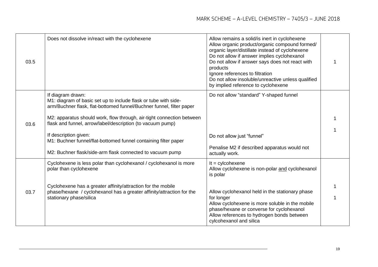| 03.5 | Does not dissolve in/react with the cyclohexene                                                                                                                                                                                                                                                                                                                                                                                                              | Allow remains a solid/is inert in cyclohexene<br>Allow organic product/organic compound formed/<br>organic layer/distillate instead of cyclohexene<br>Do not allow if answer implies cyclohexanol<br>Do not allow if answer says does not react with<br>products<br>Ignore references to filtration<br>Do not allow insoluble/unreactive unless qualified<br>by implied reference to cyclohexene |  |
|------|--------------------------------------------------------------------------------------------------------------------------------------------------------------------------------------------------------------------------------------------------------------------------------------------------------------------------------------------------------------------------------------------------------------------------------------------------------------|--------------------------------------------------------------------------------------------------------------------------------------------------------------------------------------------------------------------------------------------------------------------------------------------------------------------------------------------------------------------------------------------------|--|
| 03.6 | If diagram drawn:<br>M1: diagram of basic set up to include flask or tube with side-<br>arm/Buchner flask, flat-bottomed funnel/Buchner funnel, filter paper<br>M2: apparatus should work, flow through, air-tight connection between<br>flask and funnel, arrow/label/description (to vacuum pump)<br>If description given:<br>M1: Buchner funnel/flat-bottomed funnel containing filter paper<br>M2: Buchner flask/side-arm flask connected to vacuum pump | Do not allow "standard" Y-shaped funnel<br>Do not allow just "funnel"<br>Penalise M2 if described apparatus would not<br>actually work.                                                                                                                                                                                                                                                          |  |
| 03.7 | Cyclohexene is less polar than cyclohexanol / cyclohexanol is more<br>polar than cyclohexene<br>Cyclohexene has a greater affinity/attraction for the mobile<br>phase/hexane / cyclohexanol has a greater affinity/attraction for the<br>stationary phase/silica                                                                                                                                                                                             | $It = cylcohexene$<br>Allow cyclohexene is non-polar and cyclohexanol<br>is polar<br>Allow cyclohexanol held in the stationary phase<br>for longer<br>Allow cyclohexene is more soluble in the mobile<br>phase/hexane or converse for cyclohexanol<br>Allow references to hydrogen bonds between<br>cylcohexanol and silica                                                                      |  |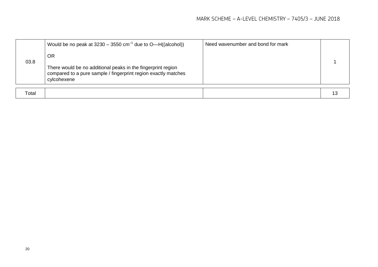|       | Would be no peak at $3230 - 3550$ cm <sup>-1</sup> due to O-H((alcohol))                                                                      | Need wavenumber and bond for mark |  |
|-------|-----------------------------------------------------------------------------------------------------------------------------------------------|-----------------------------------|--|
|       | <b>OR</b>                                                                                                                                     |                                   |  |
| 03.8  | There would be no additional peaks in the fingerprint region<br>compared to a pure sample / fingerprint region exactly matches<br>cylcohexene |                                   |  |
|       |                                                                                                                                               |                                   |  |
| Total |                                                                                                                                               |                                   |  |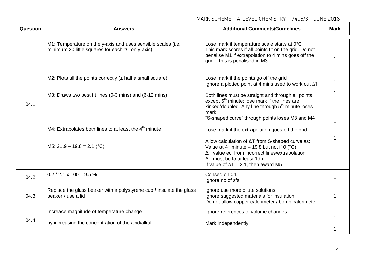| MARK SCHEME - A-LEVEL CHEMISTRY - 7405/3 - JUNE 2018 |  |  |  |
|------------------------------------------------------|--|--|--|
|                                                      |  |  |  |

| <b>Question</b> | <b>Answers</b>                                                                                                   | <b>Additional Comments/Guidelines</b>                                                                                                                                                                                                         | <b>Mark</b> |
|-----------------|------------------------------------------------------------------------------------------------------------------|-----------------------------------------------------------------------------------------------------------------------------------------------------------------------------------------------------------------------------------------------|-------------|
|                 | M1: Temperature on the y-axis and uses sensible scales (i.e.<br>minimum 20 little squares for each °C on y-axis) | Lose mark if temperature scale starts at 0°C<br>This mark scores if all points fit on the grid. Do not<br>penalise M1 if extrapolation to 4 mins goes off the<br>grid - this is penalised in M3.                                              | 1           |
|                 | M2: Plots all the points correctly $(\pm$ half a small square)                                                   | Lose mark if the points go off the grid<br>Ignore a plotted point at 4 mins used to work out AT                                                                                                                                               | 1           |
| 04.1            | M3: Draws two best fit lines (0-3 mins) and (6-12 mins)                                                          | Both lines must be straight and through all points<br>except 5 <sup>th</sup> minute; lose mark if the lines are<br>kinked/doubled. Any line through 5 <sup>th</sup> minute loses<br>mark                                                      |             |
|                 | M4: Extrapolates both lines to at least the 4 <sup>th</sup> minute                                               | "S-shaped curve" through points loses M3 and M4<br>Lose mark if the extrapolation goes off the grid.                                                                                                                                          |             |
|                 | M5: $21.9 - 19.8 = 2.1$ (°C)                                                                                     | Allow calculation of ΔT from S-shaped curve as:<br>Value at $4^{th}$ minute – 19.8 but not if 0 (°C)<br>ΔT value ecf from incorrect lines/extrapolation<br>$\Delta T$ must be to at least 1dp<br>If value of $\Delta T = 2.1$ , then award M5 |             |
| 04.2            | $0.2 / 2.1 \times 100 = 9.5 \%$                                                                                  | Conseq on 04.1<br>Ignore no of sfs.                                                                                                                                                                                                           | 1           |
| 04.3            | Replace the glass beaker with a polystyrene cup <i>I</i> insulate the glass<br>beaker / use a lid                | Ignore use more dilute solutions<br>Ignore suggested materials for insulation<br>Do not allow copper calorimeter / bomb calorimeter                                                                                                           | 1           |
| 04.4            | Increase magnitude of temperature change                                                                         | Ignore references to volume changes                                                                                                                                                                                                           |             |
|                 | by increasing the concentration of the acid/alkali                                                               | Mark independently                                                                                                                                                                                                                            |             |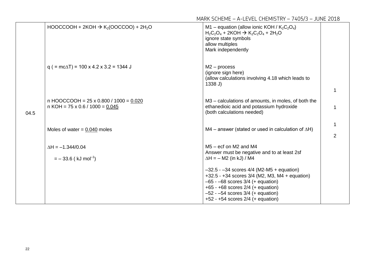|      | $HOOCCOOH + 2KOH \rightarrow K_2(OOCCOO) + 2H_2O$                                       | M1 – equation (allow ionic KOH / $K_2C_2O_4$ )<br>$H_2C_2O_4$ + 2KOH $\rightarrow$ K <sub>2</sub> C <sub>2</sub> O <sub>4</sub> + 2H <sub>2</sub> O<br>ignore state symbols<br>allow multiples<br>Mark independently                                                |   |
|------|-----------------------------------------------------------------------------------------|---------------------------------------------------------------------------------------------------------------------------------------------------------------------------------------------------------------------------------------------------------------------|---|
|      | $q$ ( = mc $\Delta$ T) = 100 x 4.2 x 3.2 = 1344 J                                       | $M2$ – process<br>(ignore sign here)<br>(allow calculations involving 4.18 which leads to<br>1338 J                                                                                                                                                                 |   |
| 04.5 | n HOOCCOOH = $25 \times 0.800 / 1000 = 0.020$<br>$n KOH = 75 \times 0.6 / 1000 = 0.045$ | M3 – calculations of amounts, in moles, of both the<br>ethanedioic acid and potassium hydroxide<br>(both calculations needed)                                                                                                                                       |   |
|      | Moles of water $= 0.040$ moles                                                          | M4 – answer (stated or used in calculation of $\Delta H$ )                                                                                                                                                                                                          | 2 |
|      | $\Delta H = -1.344/0.04$<br>$=$ - 33.6 (kJ mol <sup>-1</sup> )                          | $M5 - ecf$ on M2 and M4<br>Answer must be negative and to at least 2sf<br>$\Delta H = - M2$ (in kJ) / M4                                                                                                                                                            |   |
|      |                                                                                         | $-32.5 - 34$ scores $4/4$ (M2-M5 + equation)<br>$+32.5 - +34$ scores 3/4 (M2, M3, M4 + equation)<br>$-65 - -68$ scores $3/4$ (+ equation)<br>$+65 - +68$ scores $2/4$ (+ equation)<br>$-52 - 54$ scores $3/4$ (+ equation)<br>$+52 - +54$ scores $2/4$ (+ equation) |   |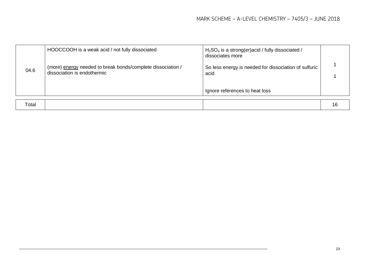| 04.6  | HOOCCOOH is a weak acid / not fully dissociated<br>(more) energy needed to break bonds/complete dissociation /<br>dissociation is endothermic | $H2SO4$ is a strong(er)acid / fully dissociated /<br>dissociates more<br>So less energy is needed for dissociation of sulfuric<br>acid<br>Ignore references to heat loss |    |
|-------|-----------------------------------------------------------------------------------------------------------------------------------------------|--------------------------------------------------------------------------------------------------------------------------------------------------------------------------|----|
|       |                                                                                                                                               |                                                                                                                                                                          |    |
| Total |                                                                                                                                               |                                                                                                                                                                          | 16 |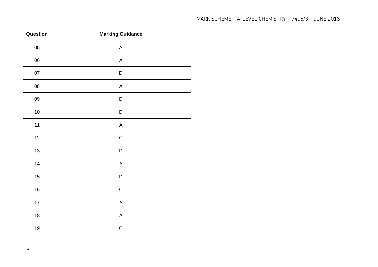| MARK SCHEME - A-LEVEL CHEMISTRY - 7405/3 - JUNE 2018 |
|------------------------------------------------------|
|------------------------------------------------------|

| Question   | <b>Marking Guidance</b> |
|------------|-------------------------|
| $05\,$     | $\mathsf A$             |
| 06         | $\mathsf A$             |
| 07         | $\mathsf D$             |
| ${\bf 08}$ | $\mathsf A$             |
| 09         | $\mathsf D$             |
| $10\,$     | D                       |
| $11$       | A                       |
| 12         | $\mathsf C$             |
| 13         | $\mathsf D$             |
| 14         | A                       |
| 15         | D                       |
| $16\,$     | $\mathsf C$             |
| 17         | A                       |
| $18$       | $\mathsf A$             |
| $19$       | $\mathsf C$             |